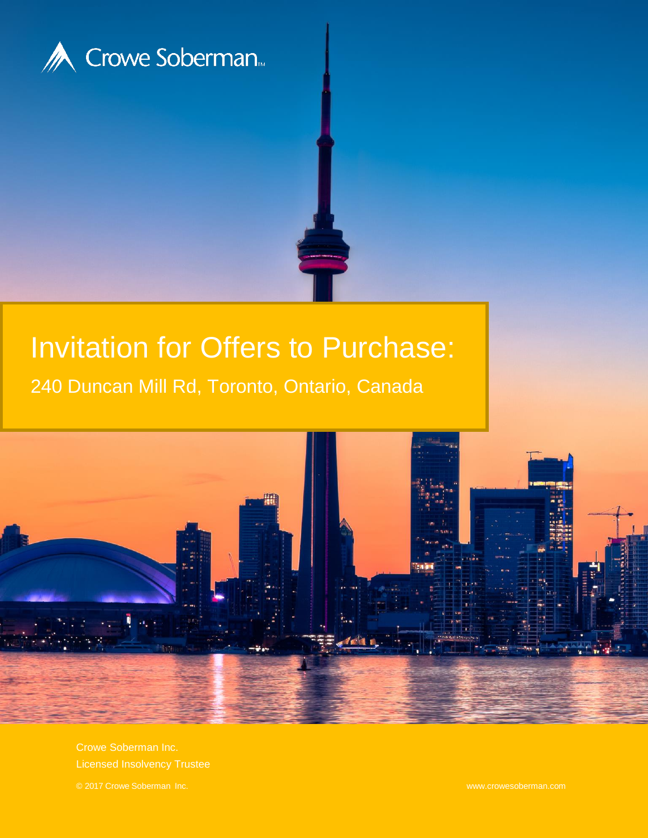

# Invitation for Offers to Purchase:

240 Duncan Mill Rd, Toronto, Ontario, Canada



Crowe Soberman Inc. Licensed Insolvency Trustee © 2017 Crowe Soberman Inc. www.crowesoberman.com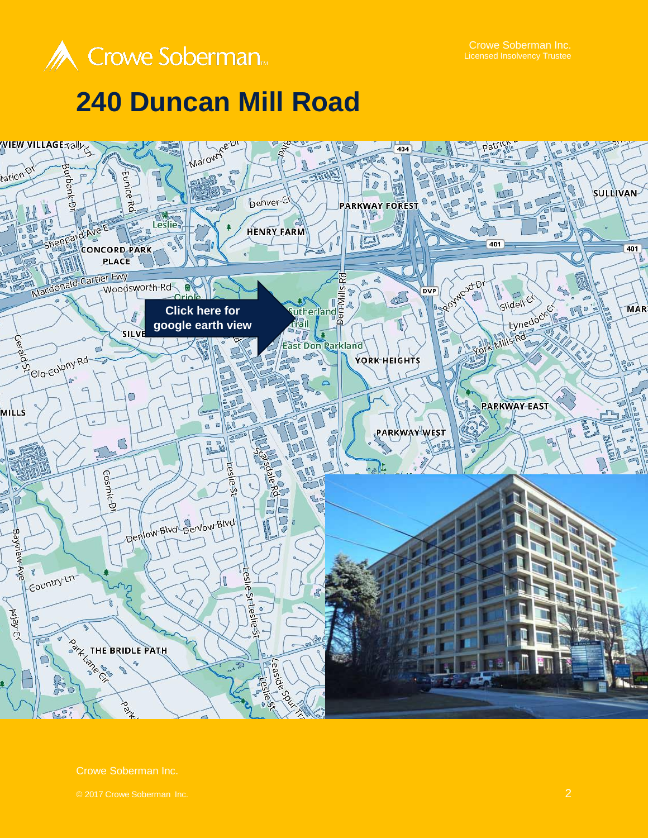

Crowe Soberman Inc.

## **240 Duncan Mill Road**



Crowe Soberman Inc.

© 2017 Crowe Soberman Inc. 2